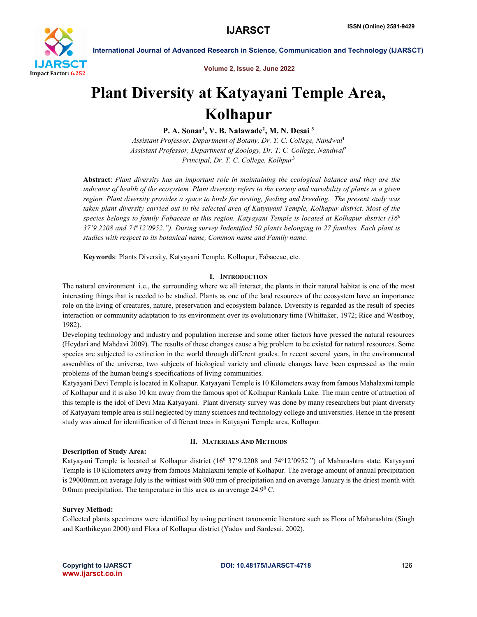

International Journal of Advanced Research in Science, Communication and Technology (IJARSCT)

Volume 2, Issue 2, June 2022

## Plant Diversity at Katyayani Temple Area, Kolhapur

P. A. Sonar<sup>1</sup>, V. B. Nalawade<sup>2</sup>, M. N. Desai <sup>3</sup>

*Assistant Professor, Department of Botany, Dr. T. C. College, Nandwal*<sup>1</sup> *Assistant Professor, Department of Zoology, Dr. T. C. College, Nandwal*<sup>2</sup> *Principal, Dr. T. C. College, Kolhpur*<sup>3</sup>

Abstract: *Plant diversity has an important role in maintaining the ecological balance and they are the indicator of health of the ecosystem. Plant diversity refers to the variety and variability of plants in a given region. Plant diversity provides a space to birds for nesting, feeding and breeding. The present study was taken plant diversity carried out in the selected area of Katyayani Temple, Kolhapur district. Most of the species belongs to family Fabaceae at this region. Katyayani Temple is located at Kolhapur district (160 37'9.2208 and 74o12'0952."). During survey Indentified 50 plants belonging to 27 families. Each plant is studies with respect to its botanical name, Common name and Family name.*

Keywords: Plants Diversity, Katyayani Temple, Kolhapur, Fabaceae, etc.

#### I. INTRODUCTION

The natural environment i.e., the surrounding where we all interact, the plants in their natural habitat is one of the most interesting things that is needed to be studied. Plants as one of the land resources of the ecosystem have an importance role on the living of creatures, nature, preservation and ecosystem balance. Diversity is regarded as the result of species interaction or community adaptation to its environment over its evolutionary time (Whittaker, 1972; Rice and Westboy, 1982).

Developing technology and industry and population increase and some other factors have pressed the natural resources (Heydari and Mahdavi 2009). The results of these changes cause a big problem to be existed for natural resources. Some species are subjected to extinction in the world through different grades. In recent several years, in the environmental assemblies of the universe, two subjects of biological variety and climate changes have been expressed as the main problems of the human being's specifications of living communities.

Katyayani Devi Temple is located in Kolhapur. Katyayani Temple is 10 Kilometers away from famous Mahalaxmi temple of Kolhapur and it is also 10 km away from the famous spot of Kolhapur Rankala Lake. The main centre of attraction of this temple is the idol of Devi Maa Katyayani. Plant diversity survey was done by many researchers but plant diversity of Katyayani temple area is still neglected by many sciences and technology college and universities. Hence in the present study was aimed for identification of different trees in Katyayni Temple area, Kolhapur.

#### Description of Study Area:

#### II. MATERIALS AND METHODS

Katyayani Temple is located at Kolhapur district (16<sup>0</sup> 37'9.2208 and 74°12'0952.") of Maharashtra state. Katyayani Temple is 10 Kilometers away from famous Mahalaxmi temple of Kolhapur. The average amount of annual precipitation is 29000mm.on average July is the wittiest with 900 mm of precipitation and on average January is the driest month with 0.0mm precipitation. The temperature in this area as an average 24.9<sup>0</sup> C.

#### Survey Method:

Collected plants specimens were identified by using pertinent taxonomic literature such as Flora of Maharashtra (Singh and Karthikeyan 2000) and Flora of Kolhapur district (Yadav and Sardesai, 2002).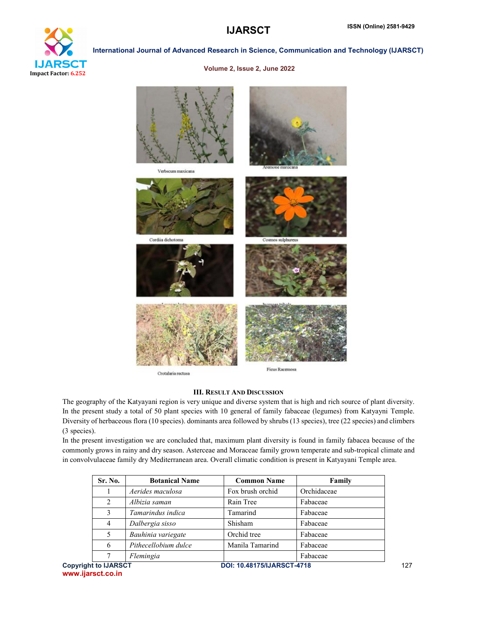

#### International Journal of Advanced Research in Science, Communication and Technology (IJARSCT)

#### Volume 2, Issue 2, June 2022



Crotalaria rectusa

**Ficus Racemosa** 

#### III. RESULT AND DISCUSSION

The geography of the Katyayani region is very unique and diverse system that is high and rich source of plant diversity. In the present study a total of 50 plant species with 10 general of family fabaceae (legumes) from Katyayni Temple. Diversity of herbaceous flora (10 species). dominants area followed by shrubs (13 species), tree (22 species) and climbers (3 species).

In the present investigation we are concluded that, maximum plant diversity is found in family fabacea because of the commonly grows in rainy and dry season. Asterceae and Moraceae family grown temperate and sub-tropical climate and in convolvulaceae family dry Mediterranean area. Overall climatic condition is present in Katyayani Temple area.

| Sr. No.                     | <b>Botanical Name</b> | <b>Common Name</b>                | Family      |
|-----------------------------|-----------------------|-----------------------------------|-------------|
|                             | Aerides maculosa      | Fox brush orchid                  | Orchidaceae |
| 2                           | Albizia saman         | Rain Tree                         | Fabaceae    |
| 3                           | Tamarindus indica     | Tamarind                          | Fabaceae    |
| $\overline{4}$              | Dalbergia sisso       | Shisham                           | Fabaceae    |
| 5                           | Bauhinia variegate    | Orchid tree                       | Fabaceae    |
| 6                           | Pithecellobium dulce  | Manila Tamarind                   | Fabaceae    |
|                             | Flemingia             |                                   | Fabaceae    |
| <b>Copyright to IJARSCT</b> |                       | <b>DOI: 10.48175/IJARSCT-4718</b> |             |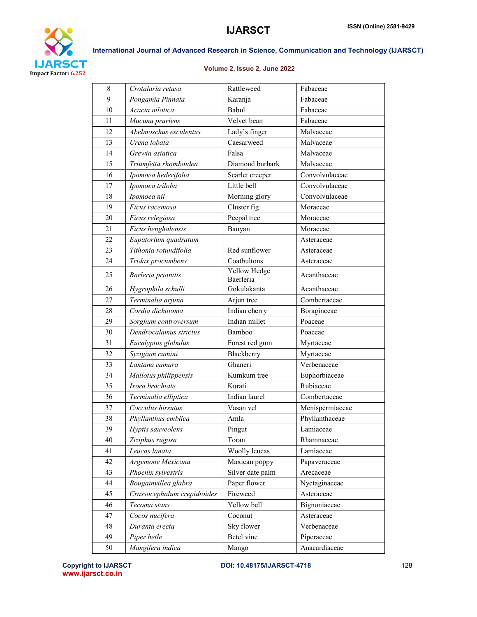

### International Journal of Advanced Research in Science, Communication and Technology (IJARSCT)

#### Volume 2, Issue 2, June 2022

| 8  | Crotalaria retusa           | Rattleweed                | Fabaceae        |
|----|-----------------------------|---------------------------|-----------------|
| 9  | Pongamia Pinnata            | Karanja                   | Fabaceae        |
| 10 | Acacia nilotica             | Babul                     | Fabaceae        |
| 11 | Mucuna pruriens             | Velvet bean               | Fabaceae        |
| 12 | Abelmoschus esculentus      | Lady's finger             | Malvaceae       |
| 13 | Urena lobata                | Caesarweed                | Malvaceae       |
| 14 | Grewia asiatica             | Falsa                     | Malvaceae       |
| 15 | Triumfetta rhomboidea       | Diamond burbark           | Malvaceae       |
| 16 | Ipomoea hederifolia         | Scarlet creeper           | Convolvulaceae  |
| 17 | Ipomoea triloba             | Little bell               | Convolvulaceae  |
| 18 | Ipomoea nil                 | Morning glory             | Convolvulaceae  |
| 19 | Ficus racemosa              | Cluster fig               | Moraceae        |
| 20 | Ficus relegiosa             | Peepal tree               | Moraceae        |
| 21 | Ficus benghalensis          | Banyan                    | Moraceae        |
| 22 | Eupatorium quadratum        |                           | Asteraceae      |
| 23 | Tithonia rotundifolia       | Red sunflower             | Asteraceae      |
| 24 | Tridax procumbens           | Coatbultons               | Asteraceae      |
| 25 | Barleria prionitis          | Yellow Hedge<br>Baerleria | Acanthaceae     |
| 26 | Hygrophila schulli          | Gokulakanta               | Acanthaceae     |
| 27 | Terminalia arjuna           | Arjun tree                | Combertaceae    |
| 28 | Cordia dichotoma            | Indian cherry             | Boraginceae     |
| 29 | Sorghum controversum        | Indian millet             | Poaceae         |
| 30 | Dendrocalamus strictus      | Bamboo                    | Poaceae         |
| 31 | Eucalyptus globulus         | Forest red gum            | Myrtaceae       |
| 32 | Syzigium cumini             | Blackberry                | Myrtaceae       |
| 33 | Lantana camara              | Ghaneri                   | Verbenaceae     |
| 34 | Mallotus philippensis       | Kumkum tree               | Euphorbiaceae   |
| 35 | Ixora brachiate             | Kurati                    | Rubiaceae       |
| 36 | Terminalia elliptica        | Indian laurel             | Combertaceae    |
| 37 | Cocculus hirsutus           | Vasan vel                 | Menispermiaceae |
| 38 | Phyllanthus emblica         | Amla                      | Phyllanthaceae  |
| 39 | Hyptis sauveolens           | Pingut                    | Lamiaceae       |
| 40 | Ziziphus rugosa             | Toran                     | Rhamnaceae      |
| 41 | Leucas lanata               | Woolly leucas             | Lamiaceae       |
| 42 | Argemone Mexicana           | Maxican poppy             | Papaveraceae    |
| 43 | Phoenix sylvestris          | Silver date palm          | Arecaceae       |
| 44 | Bougainvillea glabra        | Paper flower              | Nyctaginaceae   |
| 45 | Crassocephalum crepidioides | Fireweed                  | Asteraceae      |
| 46 | Tecoma stans                | Yellow bell               | Bignoniaceae    |
| 47 | Cocos nucifera              | Coconut                   | Asteraceae      |
| 48 | Duranta erecta              | Sky flower                | Verbenaceae     |
| 49 | Piper betle                 | Betel vine                | Piperaceae      |
| 50 | Mangifera indica            | Mango                     | Anacardiaceae   |

www.ijarsct.co.in

Copyright to IJARSCT 128 128